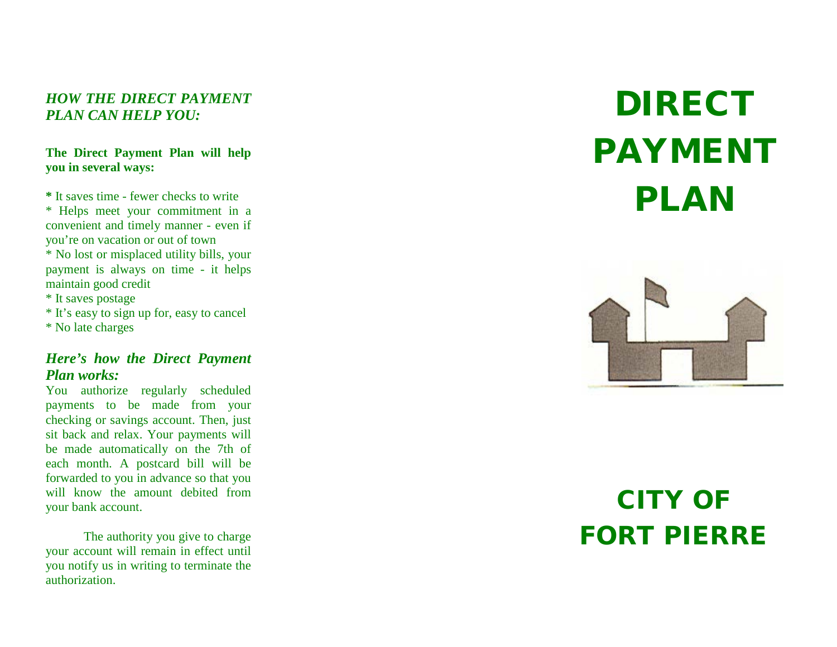### *HOW THE DIRECT PAYMENT PLAN CAN HELP YOU:*

### **The Direct Payment Plan will help you in several ways:**

**\*** It saves time - fewer checks to write \* Helps meet your commitment in a convenient and timely manner - even if you're on vacation or out of town \* No lost or misplaced utility bills, your payment is always on time - it helps maintain good credit

\* It saves postage

\* It's easy to sign up for, easy to cancel \* No late charges

### *Here's how the Direct Payment Plan works:*

You authorize regularly scheduled payments to be made from your checking or savings account. Then, just sit back and relax. Your payments will be made automatically on the 7th of each month. A postcard bill will be forwarded to you in advance so that you will know the amount debited from your bank account.

The authority you give to charge your account will remain in effect until you notify us in writing to terminate the authorization.

# DIRECT PAYMENT PLAN



## CITY OF FORT PIERRE